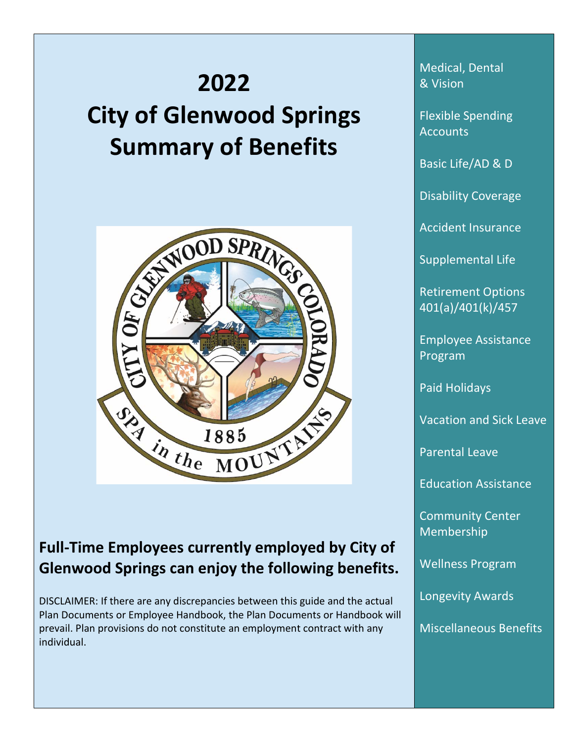# **2022 City of Glenwood Springs Summary of Benefits**



# **Full-Time Employees currently employed by City of Glenwood Springs can enjoy the following benefits.**

DISCLAIMER: If there are any discrepancies between this guide and the actual Plan Documents or Employee Handbook, the Plan Documents or Handbook will prevail. Plan provisions do not constitute an employment contract with any individual.

Medical, Dental & Vision

I

Flexible Spending **Accounts** 

Basic Life/AD & D

Disability Coverage

Accident Insurance

Supplemental Life

Retirement Options 401(a)/401(k)/457

Employee Assistance Program

Paid Holidays

Vacation and Sick Leave

Parental Leave

Education Assistance

Community Center Membership

Wellness Program

Longevity Awards

Miscellaneous Benefits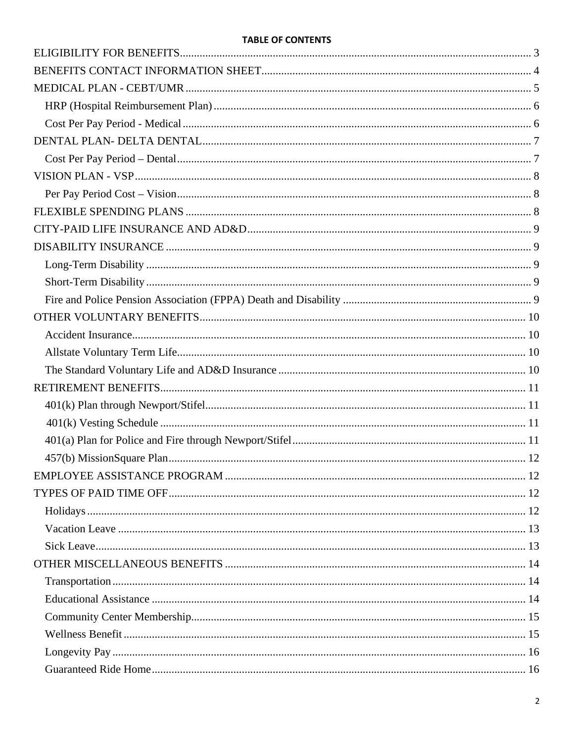#### **TABLE OF CONTENTS**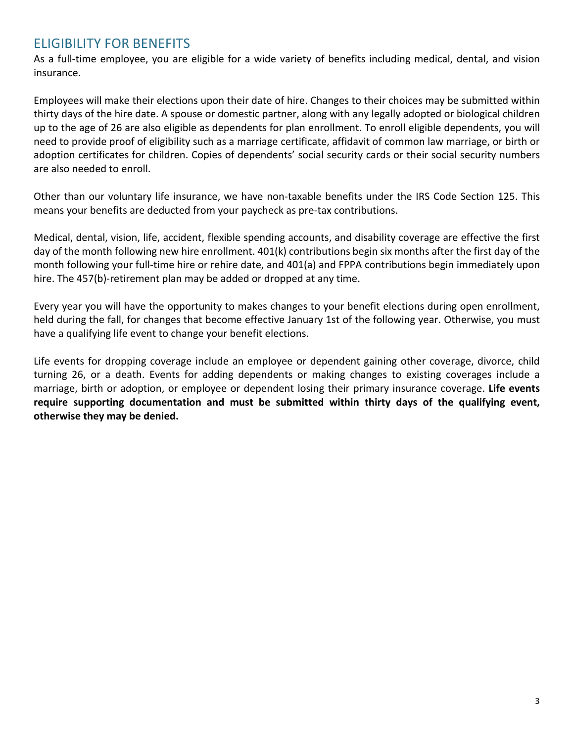# <span id="page-2-0"></span>ELIGIBILITY FOR BENEFITS

As a full-time employee, you are eligible for a wide variety of benefits including medical, dental, and vision insurance.

Employees will make their elections upon their date of hire. Changes to their choices may be submitted within thirty days of the hire date. A spouse or domestic partner, along with any legally adopted or biological children up to the age of 26 are also eligible as dependents for plan enrollment. To enroll eligible dependents, you will need to provide proof of eligibility such as a marriage certificate, affidavit of common law marriage, or birth or adoption certificates for children. Copies of dependents' social security cards or their social security numbers are also needed to enroll.

Other than our voluntary life insurance, we have non-taxable benefits under the IRS Code Section 125. This means your benefits are deducted from your paycheck as pre-tax contributions.

Medical, dental, vision, life, accident, flexible spending accounts, and disability coverage are effective the first day of the month following new hire enrollment. 401(k) contributions begin six months after the first day of the month following your full-time hire or rehire date, and 401(a) and FPPA contributions begin immediately upon hire. The 457(b)-retirement plan may be added or dropped at any time.

Every year you will have the opportunity to makes changes to your benefit elections during open enrollment, held during the fall, for changes that become effective January 1st of the following year. Otherwise, you must have a qualifying life event to change your benefit elections.

Life events for dropping coverage include an employee or dependent gaining other coverage, divorce, child turning 26, or a death. Events for adding dependents or making changes to existing coverages include a marriage, birth or adoption, or employee or dependent losing their primary insurance coverage. **Life events require supporting documentation and must be submitted within thirty days of the qualifying event, otherwise they may be denied.**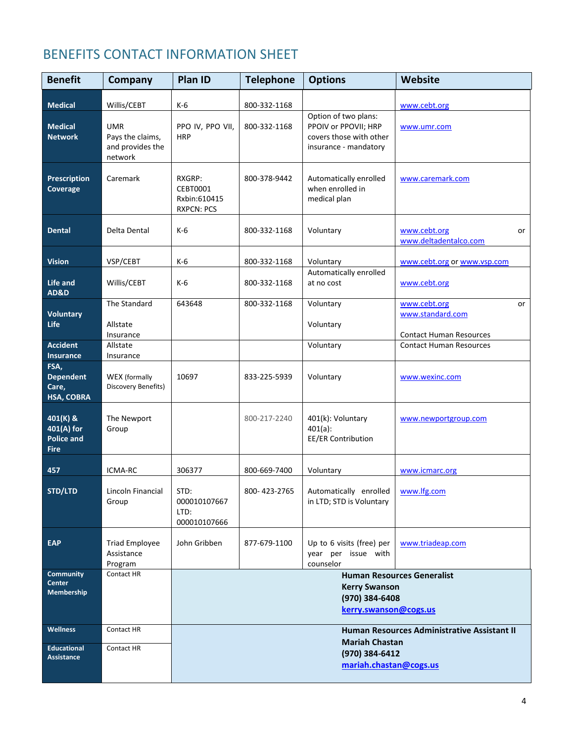# <span id="page-3-0"></span>BENEFITS CONTACT INFORMATION SHEET

| <b>Benefit</b>                                             | Company                                                       | Plan ID                                                 | <b>Telephone</b> | <b>Options</b>                                                                                   | Website                                                                  |
|------------------------------------------------------------|---------------------------------------------------------------|---------------------------------------------------------|------------------|--------------------------------------------------------------------------------------------------|--------------------------------------------------------------------------|
| <b>Medical</b>                                             | Willis/CEBT                                                   | K-6                                                     | 800-332-1168     |                                                                                                  | www.cebt.org                                                             |
| <b>Medical</b><br><b>Network</b>                           | <b>UMR</b><br>Pays the claims,<br>and provides the<br>network | PPO IV, PPO VII,<br><b>HRP</b>                          | 800-332-1168     | Option of two plans:<br>PPOIV or PPOVII; HRP<br>covers those with other<br>insurance - mandatory | www.umr.com                                                              |
| Prescription<br><b>Coverage</b>                            | Caremark                                                      | RXGRP:<br>CEBT0001<br>Rxbin:610415<br><b>RXPCN: PCS</b> | 800-378-9442     | Automatically enrolled<br>when enrolled in<br>medical plan                                       | www.caremark.com                                                         |
| <b>Dental</b>                                              | Delta Dental                                                  | K-6                                                     | 800-332-1168     | Voluntary                                                                                        | www.cebt.org<br>or<br>www.deltadentalco.com                              |
| <b>Vision</b>                                              | VSP/CEBT                                                      | $K-6$                                                   | 800-332-1168     | Voluntary                                                                                        | www.cebt.org or www.vsp.com                                              |
| Life and<br><b>AD&amp;D</b>                                | Willis/CEBT                                                   | $K-6$                                                   | 800-332-1168     | Automatically enrolled<br>at no cost                                                             | www.cebt.org                                                             |
| <b>Voluntary</b><br>Life                                   | The Standard<br>Allstate<br>Insurance                         | 643648                                                  | 800-332-1168     | Voluntary<br>Voluntary                                                                           | www.cebt.org<br>or<br>www.standard.com<br><b>Contact Human Resources</b> |
| <b>Accident</b><br>Insurance                               | Allstate<br>Insurance                                         |                                                         |                  | Voluntary                                                                                        | <b>Contact Human Resources</b>                                           |
| FSA,<br><b>Dependent</b><br>Care,<br><b>HSA, COBRA</b>     | <b>WEX</b> (formally<br>Discovery Benefits)                   | 10697                                                   | 833-225-5939     | Voluntary                                                                                        | www.wexinc.com                                                           |
| 401(K) &<br>401(A) for<br><b>Police and</b><br><b>Fire</b> | The Newport<br>Group                                          |                                                         | 800-217-2240     | 401(k): Voluntary<br>401(a):<br><b>EE/ER Contribution</b>                                        | www.newportgroup.com                                                     |
| 457                                                        | ICMA-RC                                                       | 306377                                                  | 800-669-7400     | Voluntary                                                                                        | www.icmarc.org                                                           |
| STD/LTD                                                    | Lincoln Financial<br>Group                                    | STD:<br>000010107667<br>LTD:<br>000010107666            | 800-423-2765     | Automatically enrolled   www.lfg.com<br>in LTD; STD is Voluntary                                 |                                                                          |
| <b>EAP</b>                                                 | <b>Triad Employee</b><br>Assistance<br>Program                | John Gribben                                            | 877-679-1100     | Up to 6 visits (free) per<br>year per issue with<br>counselor                                    | www.triadeap.com                                                         |
| <b>Community</b><br>Center<br>Membership                   | Contact HR                                                    |                                                         |                  | <b>Kerry Swanson</b><br>(970) 384-6408<br>kerry.swanson@cogs.us                                  | <b>Human Resources Generalist</b>                                        |
| <b>Wellness</b>                                            | Contact HR                                                    |                                                         |                  | <b>Mariah Chastan</b>                                                                            | Human Resources Administrative Assistant II                              |
| <b>Educational</b><br><b>Assistance</b>                    | Contact HR                                                    |                                                         |                  | (970) 384-6412<br>mariah.chastan@cogs.us                                                         |                                                                          |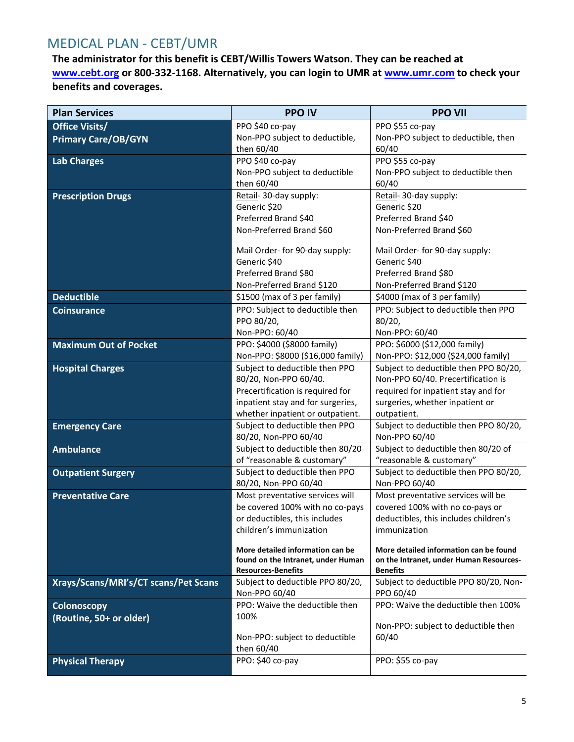# <span id="page-4-0"></span>MEDICAL PLAN - CEBT/UMR

**The administrator for this benefit is CEBT/Willis Towers Watson. They can be reached at [www.cebt.org](http://www.cebt.org/) or 800-332-1168. Alternatively, you can login to UMR at [www.umr.com](http://www.umr.com/) to check your benefits and coverages.**

| <b>Plan Services</b>                 | <b>PPO IV</b>                                                         | <b>PPO VII</b>                                 |
|--------------------------------------|-----------------------------------------------------------------------|------------------------------------------------|
| <b>Office Visits/</b>                | PPO \$40 co-pay                                                       | PPO \$55 co-pay                                |
| <b>Primary Care/OB/GYN</b>           | Non-PPO subject to deductible,                                        | Non-PPO subject to deductible, then            |
|                                      | then 60/40                                                            | 60/40                                          |
| <b>Lab Charges</b>                   | PPO \$40 co-pay                                                       | PPO \$55 co-pay                                |
|                                      | Non-PPO subject to deductible                                         | Non-PPO subject to deductible then             |
|                                      | then 60/40                                                            | 60/40                                          |
| <b>Prescription Drugs</b>            | Retail- 30-day supply:                                                | Retail- 30-day supply:                         |
|                                      | Generic \$20                                                          | Generic \$20                                   |
|                                      | Preferred Brand \$40                                                  | Preferred Brand \$40                           |
|                                      | Non-Preferred Brand \$60                                              | Non-Preferred Brand \$60                       |
|                                      | Mail Order- for 90-day supply:                                        | Mail Order- for 90-day supply:                 |
|                                      | Generic \$40                                                          | Generic \$40                                   |
|                                      | Preferred Brand \$80                                                  | Preferred Brand \$80                           |
|                                      | Non-Preferred Brand \$120                                             | Non-Preferred Brand \$120                      |
| <b>Deductible</b>                    | \$1500 (max of 3 per family)                                          | \$4000 (max of 3 per family)                   |
| <b>Coinsurance</b>                   | PPO: Subject to deductible then                                       | PPO: Subject to deductible then PPO            |
|                                      | PPO 80/20,                                                            | 80/20,                                         |
|                                      | Non-PPO: 60/40                                                        | Non-PPO: 60/40                                 |
| <b>Maximum Out of Pocket</b>         | PPO: \$4000 (\$8000 family)                                           | PPO: \$6000 (\$12,000 family)                  |
|                                      | Non-PPO: \$8000 (\$16,000 family)                                     | Non-PPO: \$12,000 (\$24,000 family)            |
| <b>Hospital Charges</b>              | Subject to deductible then PPO                                        | Subject to deductible then PPO 80/20,          |
|                                      | 80/20, Non-PPO 60/40.                                                 | Non-PPO 60/40. Precertification is             |
|                                      | Precertification is required for                                      | required for inpatient stay and for            |
|                                      | inpatient stay and for surgeries,<br>whether inpatient or outpatient. | surgeries, whether inpatient or<br>outpatient. |
| <b>Emergency Care</b>                | Subject to deductible then PPO                                        | Subject to deductible then PPO 80/20,          |
|                                      | 80/20, Non-PPO 60/40                                                  | Non-PPO 60/40                                  |
| <b>Ambulance</b>                     | Subject to deductible then 80/20                                      | Subject to deductible then 80/20 of            |
|                                      | of "reasonable & customary"                                           | "reasonable & customary"                       |
| <b>Outpatient Surgery</b>            | Subject to deductible then PPO                                        | Subject to deductible then PPO 80/20,          |
|                                      | 80/20, Non-PPO 60/40                                                  | Non-PPO 60/40                                  |
| <b>Preventative Care</b>             | Most preventative services will                                       | Most preventative services will be             |
|                                      | be covered 100% with no co-pays                                       | covered 100% with no co-pays or                |
|                                      | or deductibles, this includes                                         | deductibles, this includes children's          |
|                                      | children's immunization                                               | immunization                                   |
|                                      | More detailed information can be                                      | More detailed information can be found         |
|                                      | found on the Intranet, under Human                                    | on the Intranet, under Human Resources-        |
|                                      | <b>Resources-Benefits</b>                                             | <b>Benefits</b>                                |
| Xrays/Scans/MRI's/CT scans/Pet Scans | Subject to deductible PPO 80/20,                                      | Subject to deductible PPO 80/20, Non-          |
|                                      | Non-PPO 60/40                                                         | PPO 60/40                                      |
| Colonoscopy                          | PPO: Waive the deductible then                                        | PPO: Waive the deductible then 100%            |
| (Routine, 50+ or older)              | 100%                                                                  | Non-PPO: subject to deductible then            |
|                                      | Non-PPO: subject to deductible                                        | 60/40                                          |
|                                      | then 60/40                                                            |                                                |
| <b>Physical Therapy</b>              | PPO: \$40 co-pay                                                      | PPO: \$55 co-pay                               |
|                                      |                                                                       |                                                |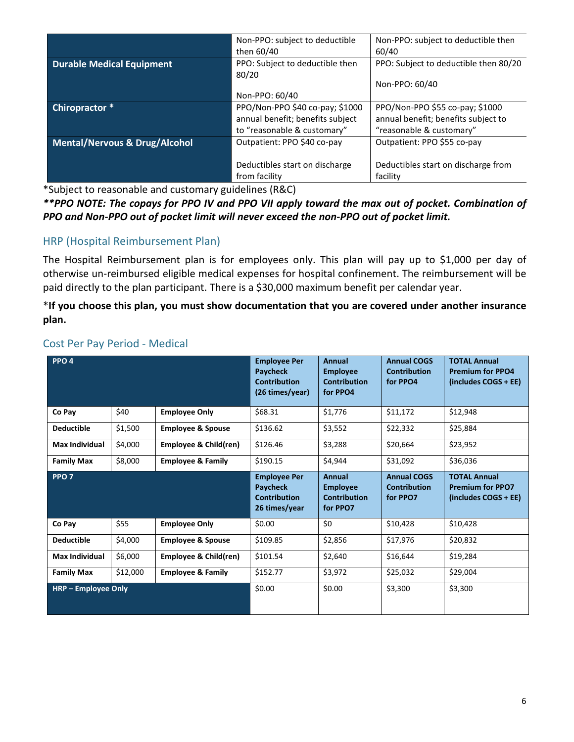|                                          | Non-PPO: subject to deductible   | Non-PPO: subject to deductible then   |
|------------------------------------------|----------------------------------|---------------------------------------|
|                                          | then 60/40                       | 60/40                                 |
| <b>Durable Medical Equipment</b>         | PPO: Subject to deductible then  | PPO: Subject to deductible then 80/20 |
|                                          | 80/20                            |                                       |
|                                          |                                  | Non-PPO: 60/40                        |
|                                          | Non-PPO: 60/40                   |                                       |
| Chiropractor *                           | PPO/Non-PPO \$40 co-pay; \$1000  | PPO/Non-PPO \$55 co-pay; \$1000       |
|                                          | annual benefit; benefits subject | annual benefit; benefits subject to   |
|                                          | to "reasonable & customary"      | "reasonable & customary"              |
| <b>Mental/Nervous &amp; Drug/Alcohol</b> | Outpatient: PPO \$40 co-pay      | Outpatient: PPO \$55 co-pay           |
|                                          |                                  |                                       |
|                                          | Deductibles start on discharge   | Deductibles start on discharge from   |
|                                          | from facility                    | facility                              |

\*Subject to reasonable and customary guidelines (R&C)

*\*\*PPO NOTE: The copays for PPO IV and PPO VII apply toward the max out of pocket. Combination of PPO and Non-PPO out of pocket limit will never exceed the non-PPO out of pocket limit.*

# <span id="page-5-0"></span>HRP (Hospital Reimbursement Plan)

The Hospital Reimbursement plan is for employees only. This plan will pay up to \$1,000 per day of otherwise un-reimbursed eligible medical expenses for hospital confinement. The reimbursement will be paid directly to the plan participant. There is a \$30,000 maximum benefit per calendar year.

\***If you choose this plan, you must show documentation that you are covered under another insurance plan.**

| PPO <sub>4</sub>      |          |                                  | <b>Employee Per</b><br><b>Paycheck</b><br><b>Contribution</b><br>(26 times/year) | Annual<br><b>Employee</b><br><b>Contribution</b><br>for PPO4 | <b>Annual COGS</b><br><b>Contribution</b><br>for PPO4 | <b>TOTAL Annual</b><br><b>Premium for PPO4</b><br>(includes COGS + EE) |
|-----------------------|----------|----------------------------------|----------------------------------------------------------------------------------|--------------------------------------------------------------|-------------------------------------------------------|------------------------------------------------------------------------|
| Co Pay                | \$40     | <b>Employee Only</b>             | \$68.31                                                                          | \$1,776                                                      | \$11,172                                              | \$12,948                                                               |
| <b>Deductible</b>     | \$1,500  | <b>Employee &amp; Spouse</b>     | \$136.62                                                                         | \$3,552                                                      | \$22,332                                              | \$25,884                                                               |
| <b>Max Individual</b> | \$4,000  | <b>Employee &amp; Child(ren)</b> | \$126.46                                                                         | \$3,288                                                      | \$20,664                                              | \$23,952                                                               |
| <b>Family Max</b>     | \$8,000  | <b>Employee &amp; Family</b>     | \$190.15                                                                         | \$4,944                                                      | \$31,092                                              | \$36,036                                                               |
| PPO <sub>7</sub>      |          |                                  | <b>Employee Per</b><br><b>Paycheck</b><br><b>Contribution</b><br>26 times/year   | Annual<br><b>Employee</b><br><b>Contribution</b><br>for PPO7 | <b>Annual COGS</b><br><b>Contribution</b><br>for PPO7 | <b>TOTAL Annual</b><br><b>Premium for PPO7</b><br>(includes COGS + EE) |
| Co Pay                | \$55     | <b>Employee Only</b>             | \$0.00                                                                           | \$0                                                          | \$10,428                                              | \$10,428                                                               |
| <b>Deductible</b>     | \$4,000  | <b>Employee &amp; Spouse</b>     | \$109.85                                                                         | \$2,856                                                      | \$17,976                                              | \$20,832                                                               |
| <b>Max Individual</b> | \$6,000  | Employee & Child(ren)            | \$101.54                                                                         | \$2,640                                                      | \$16,644                                              | \$19,284                                                               |
| <b>Family Max</b>     | \$12,000 | <b>Employee &amp; Family</b>     | \$152.77                                                                         | \$3,972                                                      | \$25,032                                              | \$29,004                                                               |
| HRP - Employee Only   |          |                                  | \$0.00                                                                           | \$0.00                                                       | \$3,300                                               | \$3,300                                                                |

## <span id="page-5-1"></span>Cost Per Pay Period - Medical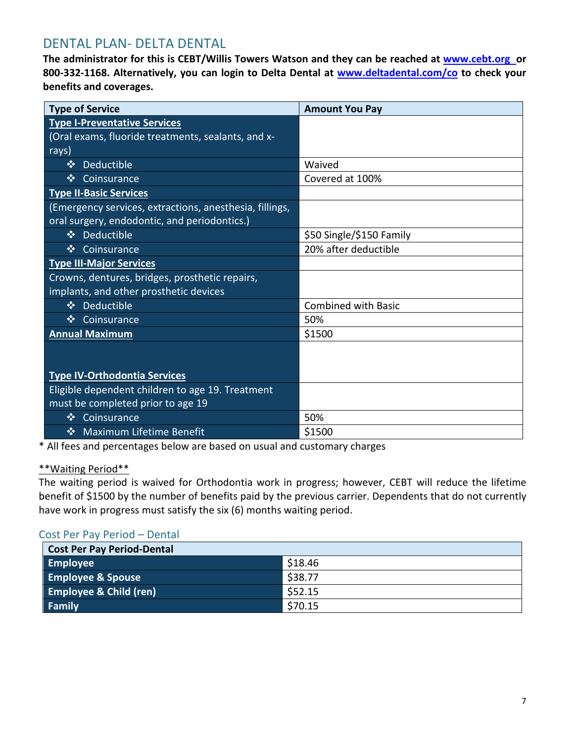# <span id="page-6-0"></span>DENTAL PLAN- DELTA DENTAL

**The administrator for this is CEBT/Willis Towers Watson and they can be reached at [www.cebt.org](http://www.cebt.org/) or 800-332-1168. Alternatively, you can login to Delta Dental at [www.deltadental.com/co](http://www.deltadental.com/co) to check your benefits and coverages.**

| <b>Type of Service</b>                                  | <b>Amount You Pay</b>      |
|---------------------------------------------------------|----------------------------|
| <b>Type I-Preventative Services</b>                     |                            |
| (Oral exams, fluoride treatments, sealants, and x-      |                            |
| rays)                                                   |                            |
| $\frac{1}{2}$<br>Deductible                             | Waived                     |
| Coinsurance<br>$\mathbf{v}_i$                           | Covered at 100%            |
| <b>Type II-Basic Services</b>                           |                            |
| (Emergency services, extractions, anesthesia, fillings, |                            |
| oral surgery, endodontic, and periodontics.)            |                            |
| ❖ Deductible                                            | \$50 Single/\$150 Family   |
| $\frac{1}{2}$<br>Coinsurance                            | 20% after deductible       |
| <b>Type III-Major Services</b>                          |                            |
| Crowns, dentures, bridges, prosthetic repairs,          |                            |
| implants, and other prosthetic devices                  |                            |
| ❖ Deductible                                            | <b>Combined with Basic</b> |
| Coinsurance<br>$\frac{1}{2}$                            | 50%                        |
| <b>Annual Maximum</b>                                   | \$1500                     |
|                                                         |                            |
|                                                         |                            |
| <b>Type IV-Orthodontia Services</b>                     |                            |
| Eligible dependent children to age 19. Treatment        |                            |
| must be completed prior to age 19                       |                            |
| Coinsurance<br>$\mathbf{v}_i$                           | 50%                        |
| <b>Maximum Lifetime Benefit</b><br>$\mathbf{v}_i$       | \$1500                     |

\* All fees and percentages below are based on usual and customary charges

#### \*\*Waiting Period\*\*

The waiting period is waived for Orthodontia work in progress; however, CEBT will reduce the lifetime benefit of \$1500 by the number of benefits paid by the previous carrier. Dependents that do not currently have work in progress must satisfy the six (6) months waiting period.

#### <span id="page-6-1"></span>Cost Per Pay Period – Dental

| <b>Cost Per Pay Period-Dental</b> |         |  |
|-----------------------------------|---------|--|
| <b>Employee</b>                   | \$18.46 |  |
| <b>Employee &amp; Spouse</b>      | \$38.77 |  |
| <b>Employee &amp; Child (ren)</b> | \$52.15 |  |
| <b>Family</b>                     | \$70.15 |  |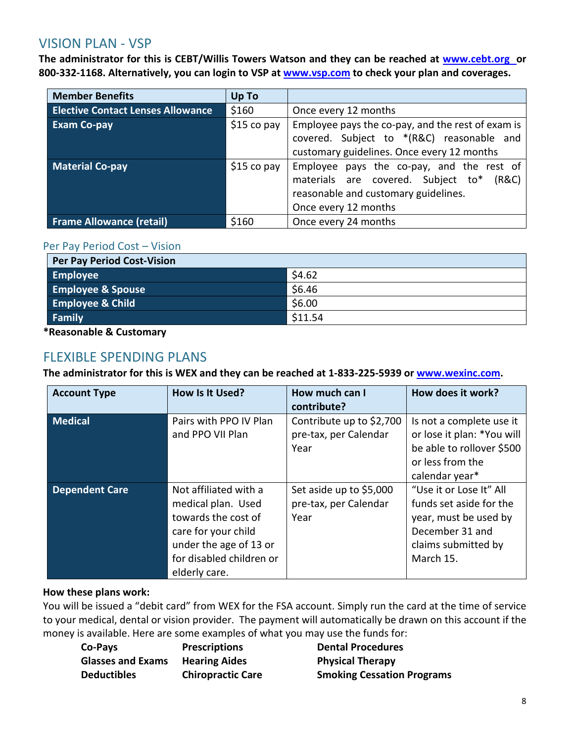# <span id="page-7-0"></span>VISION PLAN - VSP

**The administrator for this is CEBT/Willis Towers Watson and they can be reached at [www.cebt.org](http://www.cebt.org/) or 800-332-1168. Alternatively, you can login to VSP at [www.vsp.com](http://www.vsp.com/) to check your plan and coverages.**

| <b>Member Benefits</b>                   | Up To       |                                                   |
|------------------------------------------|-------------|---------------------------------------------------|
| <b>Elective Contact Lenses Allowance</b> | \$160       | Once every 12 months                              |
| <b>Exam Co-pay</b>                       | \$15 co pay | Employee pays the co-pay, and the rest of exam is |
|                                          |             | covered. Subject to *(R&C) reasonable and         |
|                                          |             | customary guidelines. Once every 12 months        |
| <b>Material Co-pay</b>                   | \$15 co pay | Employee pays the co-pay, and the rest of         |
|                                          |             | materials are covered. Subject to*<br>(R&C)       |
|                                          |             | reasonable and customary guidelines.              |
|                                          |             | Once every 12 months                              |
| <b>Frame Allowance (retail)</b>          | \$160       | Once every 24 months                              |

#### <span id="page-7-1"></span>Per Pay Period Cost – Vision

| <b>Per Pay Period Cost-Vision</b> |         |
|-----------------------------------|---------|
| <b>Employee</b>                   | \$4.62  |
| <b>Employee &amp; Spouse</b>      | \$6.46  |
| <b>Employee &amp; Child</b>       | \$6.00  |
| <b>Family</b>                     | \$11.54 |

**\*Reasonable & Customary**

# <span id="page-7-2"></span>FLEXIBLE SPENDING PLANS

**The administrator for this is WEX and they can be reached at 1-833-225-5939 or [www.wexinc.com.](https://www.wexinc.com/products/benefits/flexible-spending-account-fsa/)**

| <b>Account Type</b>   | How Is It Used?                                                                                                                                                  | How much can I<br>contribute?                             | How does it work?                                                                                                                  |
|-----------------------|------------------------------------------------------------------------------------------------------------------------------------------------------------------|-----------------------------------------------------------|------------------------------------------------------------------------------------------------------------------------------------|
| <b>Medical</b>        | Pairs with PPO IV Plan<br>and PPO VII Plan                                                                                                                       | Contribute up to \$2,700<br>pre-tax, per Calendar<br>Year | Is not a complete use it<br>or lose it plan: *You will<br>be able to rollover \$500<br>or less from the<br>calendar year*          |
| <b>Dependent Care</b> | Not affiliated with a<br>medical plan. Used<br>towards the cost of<br>care for your child<br>under the age of 13 or<br>for disabled children or<br>elderly care. | Set aside up to \$5,000<br>pre-tax, per Calendar<br>Year  | "Use it or Lose It" All<br>funds set aside for the<br>year, must be used by<br>December 31 and<br>claims submitted by<br>March 15. |

#### **How these plans work:**

You will be issued a "debit card" from WEX for the FSA account. Simply run the card at the time of service to your medical, dental or vision provider. The payment will automatically be drawn on this account if the money is available. Here are some examples of what you may use the funds for:

| Co-Pays                  | <b>Prescriptions</b>     |
|--------------------------|--------------------------|
| <b>Glasses and Exams</b> | <b>Hearing Aides</b>     |
| <b>Deductibles</b>       | <b>Chiropractic Care</b> |

**Dental Procedures Physical Therapy Smoking Cessation Programs**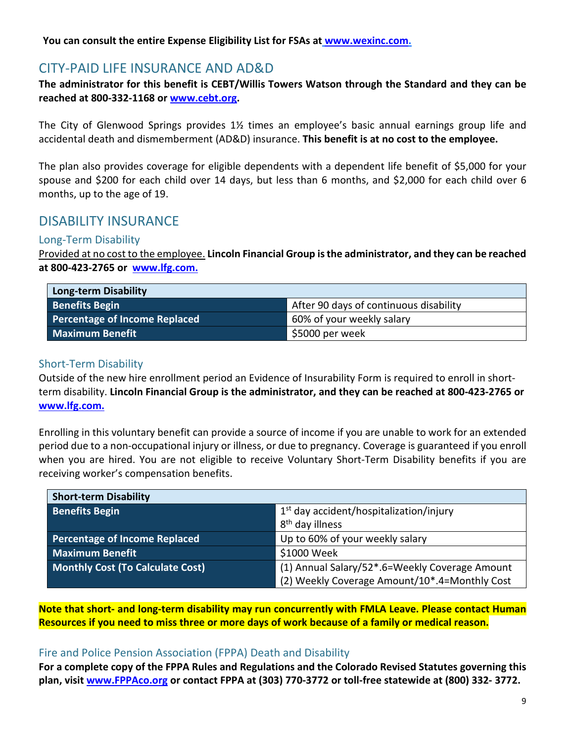<span id="page-8-0"></span>**You can consult the entire Expense Eligibility List for FSAs at [www.wexinc.com.](https://www.wexinc.com/products/benefits/flexible-spending-account-fsa/)**

# CITY-PAID LIFE INSURANCE AND AD&D

**The administrator for this benefit is CEBT/Willis Towers Watson through the Standard and they can be reached at 800-332-1168 or [www.cebt.org.](http://www.cebt.org/)** 

The City of Glenwood Springs provides 1½ times an employee's basic annual earnings group life and accidental death and dismemberment (AD&D) insurance. **This benefit is at no cost to the employee.**

The plan also provides coverage for eligible dependents with a dependent life benefit of \$5,000 for your spouse and \$200 for each child over 14 days, but less than 6 months, and \$2,000 for each child over 6 months, up to the age of 19.

# <span id="page-8-1"></span>DISABILITY INSURANCE

#### <span id="page-8-2"></span>Long-Term Disability

Provided at no cost to the employee. **Lincoln Financial Group is the administrator, and they can be reached at 800-423-2765 or [www.lfg.com.](http://www.lfg.com/)**

| <b>Long-term Disability</b>   |                                        |
|-------------------------------|----------------------------------------|
| <b>Benefits Begin</b>         | After 90 days of continuous disability |
| Percentage of Income Replaced | 60% of your weekly salary              |
| <b>Maximum Benefit</b>        | \$5000 per week                        |

#### <span id="page-8-3"></span>Short-Term Disability

Outside of the new hire enrollment period an Evidence of Insurability Form is required to enroll in shortterm disability. **Lincoln Financial Group is the administrator, and they can be reached at 800-423-2765 or [www.lfg.com.](http://www.lfg.com/)**

Enrolling in this voluntary benefit can provide a source of income if you are unable to work for an extended period due to a non-occupational injury or illness, or due to pregnancy. Coverage is guaranteed if you enroll when you are hired. You are not eligible to receive Voluntary Short-Term Disability benefits if you are receiving worker's compensation benefits.

| <b>Short-term Disability</b>            |                                                |  |
|-----------------------------------------|------------------------------------------------|--|
| <b>Benefits Begin</b>                   | $1st$ day accident/hospitalization/injury      |  |
|                                         | 8 <sup>th</sup> day illness                    |  |
| <b>Percentage of Income Replaced</b>    | Up to 60% of your weekly salary                |  |
| <b>Maximum Benefit</b>                  | \$1000 Week                                    |  |
| <b>Monthly Cost (To Calculate Cost)</b> | (1) Annual Salary/52*.6=Weekly Coverage Amount |  |
|                                         | (2) Weekly Coverage Amount/10*.4=Monthly Cost  |  |

**Note that short- and long-term disability may run concurrently with FMLA Leave. Please contact Human Resources if you need to miss three or more days of work because of a family or medical reason.**

#### <span id="page-8-4"></span>Fire and Police Pension Association (FPPA) Death and Disability

**For a complete copy of the FPPA Rules and Regulations and the Colorado Revised Statutes governing this plan, visit [www.FPPAco.org](http://www.fppaco.org/) or contact FPPA at (303) 770-3772 or toll-free statewide at (800) 332- 3772.**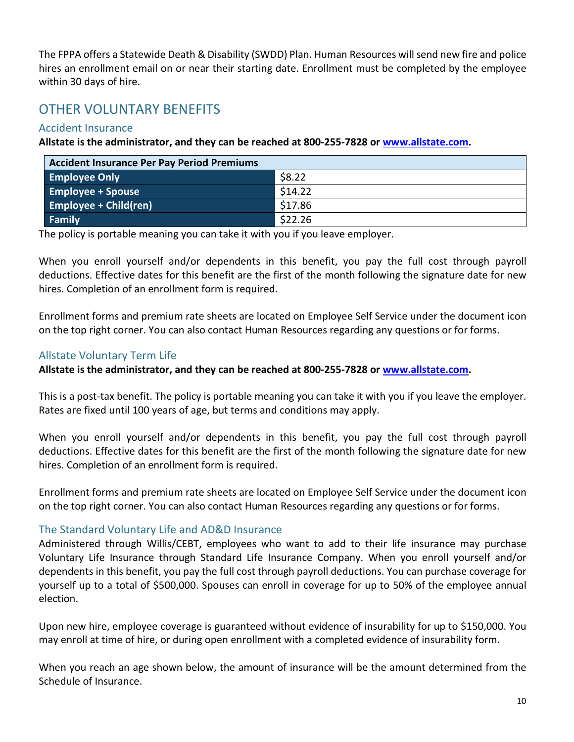The FPPA offers a Statewide Death & Disability (SWDD) Plan. Human Resources will send new fire and police hires an enrollment email on or near their starting date. Enrollment must be completed by the employee within 30 days of hire.

# <span id="page-9-0"></span>OTHER VOLUNTARY BENEFITS

## <span id="page-9-1"></span>Accident Insurance

**Allstate is the administrator, and they can be reached at 800-255-7828 or [www.allstate.com.](https://www.allstate.com/)**

| <b>Accident Insurance Per Pay Period Premiums</b> |         |  |
|---------------------------------------------------|---------|--|
| <b>Employee Only</b>                              | \$8.22  |  |
| <b>Employee + Spouse</b>                          | \$14.22 |  |
| <b>Employee + Child(ren)</b>                      | \$17.86 |  |
| Family                                            | \$22.26 |  |

The policy is portable meaning you can take it with you if you leave employer.

When you enroll yourself and/or dependents in this benefit, you pay the full cost through payroll deductions. Effective dates for this benefit are the first of the month following the signature date for new hires. Completion of an enrollment form is required.

Enrollment forms and premium rate sheets are located on Employee Self Service under the document icon on the top right corner. You can also contact Human Resources regarding any questions or for forms.

# <span id="page-9-2"></span>Allstate Voluntary Term Life

**Allstate is the administrator, and they can be reached at 800-255-7828 or [www.allstate.com.](https://www.allstate.com/)**

This is a post-tax benefit. The policy is portable meaning you can take it with you if you leave the employer. Rates are fixed until 100 years of age, but terms and conditions may apply.

When you enroll yourself and/or dependents in this benefit, you pay the full cost through payroll deductions. Effective dates for this benefit are the first of the month following the signature date for new hires. Completion of an enrollment form is required.

Enrollment forms and premium rate sheets are located on Employee Self Service under the document icon on the top right corner. You can also contact Human Resources regarding any questions or for forms.

# <span id="page-9-3"></span>The Standard Voluntary Life and AD&D Insurance

Administered through Willis/CEBT, employees who want to add to their life insurance may purchase Voluntary Life Insurance through Standard Life Insurance Company. When you enroll yourself and/or dependents in this benefit, you pay the full cost through payroll deductions. You can purchase coverage for yourself up to a total of \$500,000. Spouses can enroll in coverage for up to 50% of the employee annual election.

Upon new hire, employee coverage is guaranteed without evidence of insurability for up to \$150,000. You may enroll at time of hire, or during open enrollment with a completed evidence of insurability form.

When you reach an age shown below, the amount of insurance will be the amount determined from the Schedule of Insurance.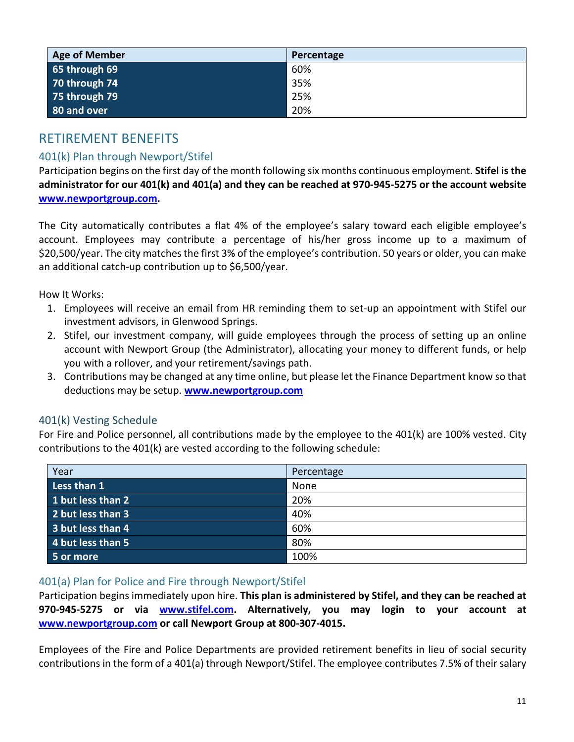| Age of Member   | Percentage |
|-----------------|------------|
| 65 through $69$ | 60%        |
| 70 through 74   | 35%        |
| 75 through 79   | 25%        |
| 80 and over     | 20%        |

# <span id="page-10-0"></span>RETIREMENT BENEFITS

# <span id="page-10-1"></span>401(k) Plan through Newport/Stifel

Participation begins on the first day of the month following six months continuous employment. **Stifel is the administrator for our 401(k) and 401(a) and they can be reached at 970-945-5275 or the account website [www.newportgroup.com.](http://www.newportgroup.com/)** 

The City automatically contributes a flat 4% of the employee's salary toward each eligible employee's account. Employees may contribute a percentage of his/her gross income up to a maximum of \$20,500/year. The city matches the first 3% of the employee's contribution. 50 years or older, you can make an additional catch-up contribution up to \$6,500/year.

How It Works:

- 1. Employees will receive an email from HR reminding them to set-up an appointment with Stifel our investment advisors, in Glenwood Springs.
- 2. Stifel, our investment company, will guide employees through the process of setting up an online account with Newport Group (the Administrator), allocating your money to different funds, or help you with a rollover, and your retirement/savings path.
- 3. Contributions may be changed at any time online, but please let the Finance Department know so that deductions may be setup. **[www.newportgroup.com](http://www.newportgroup.com/)**

# <span id="page-10-2"></span>401(k) Vesting Schedule

For Fire and Police personnel, all contributions made by the employee to the 401(k) are 100% vested. City contributions to the 401(k) are vested according to the following schedule:

| Year              | Percentage |
|-------------------|------------|
| Less than 1       | None       |
| 1 but less than 2 | 20%        |
| 2 but less than 3 | 40%        |
| 3 but less than 4 | 60%        |
| 4 but less than 5 | 80%        |
| 5 or more         | 100%       |

#### <span id="page-10-3"></span>401(a) Plan for Police and Fire through Newport/Stifel

Participation begins immediately upon hire. **This plan is administered by Stifel, and they can be reached at 970-945-5275 or via [www.stifel.com.](http://www.stifel.com/) Alternatively, you may login to your account at [www.newportgroup.com](http://www.newportgroup.com/) or call Newport Group at 800-307-4015.**

Employees of the Fire and Police Departments are provided retirement benefits in lieu of social security contributions in the form of a 401(a) through Newport/Stifel. The employee contributes 7.5% of their salary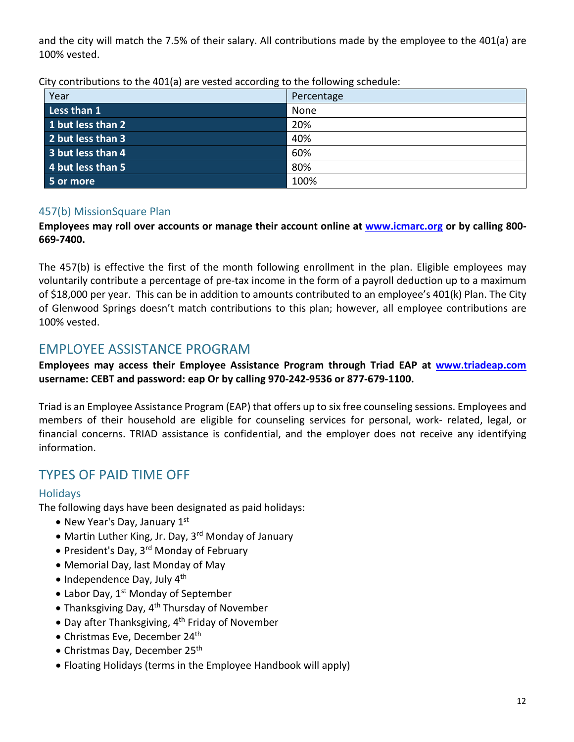and the city will match the 7.5% of their salary. All contributions made by the employee to the 401(a) are 100% vested.

| City contributions to the 401(a) are vested according to the following schedule: |  |  |  |
|----------------------------------------------------------------------------------|--|--|--|
|                                                                                  |  |  |  |
|                                                                                  |  |  |  |

| Year              | Percentage |
|-------------------|------------|
| Less than 1       | None       |
| 1 but less than 2 | 20%        |
| 2 but less than 3 | 40%        |
| 3 but less than 4 | 60%        |
| 4 but less than 5 | 80%        |
| 5 or more         | 100%       |

## <span id="page-11-0"></span>457(b) MissionSquare Plan

#### **Employees may roll over accounts or manage their account online at [www.icmarc.org](https://www.icmarc.org/) or by calling 800- 669-7400.**

The 457(b) is effective the first of the month following enrollment in the plan. Eligible employees may voluntarily contribute a percentage of pre-tax income in the form of a payroll deduction up to a maximum of \$18,000 per year. This can be in addition to amounts contributed to an employee's 401(k) Plan. The City of Glenwood Springs doesn't match contributions to this plan; however, all employee contributions are 100% vested.

# <span id="page-11-1"></span>EMPLOYEE ASSISTANCE PROGRAM

#### **Employees may access their Employee Assistance Program through Triad EAP at [www.triadeap.com](http://www.triadeap.com/)  username: CEBT and password: eap Or by calling 970-242-9536 or 877-679-1100.**

Triad is an Employee Assistance Program (EAP) that offers up to six free counseling sessions. Employees and members of their household are eligible for counseling services for personal, work- related, legal, or financial concerns. TRIAD assistance is confidential, and the employer does not receive any identifying information.

# <span id="page-11-2"></span>TYPES OF PAID TIME OFF

#### <span id="page-11-3"></span>**Holidays**

The following days have been designated as paid holidays:

- New Year's Day, January  $1<sup>st</sup>$
- Martin Luther King, Jr. Day, 3<sup>rd</sup> Monday of January
- President's Day, 3<sup>rd</sup> Monday of February
- Memorial Day, last Monday of May
- $\bullet$  Independence Day, July  $4^{\text{th}}$
- Labor Day,  $1<sup>st</sup>$  Monday of September
- Thanksgiving Day, 4<sup>th</sup> Thursday of November
- Day after Thanksgiving, 4<sup>th</sup> Friday of November
- Christmas Eve, December 24<sup>th</sup>
- Christmas Day, December 25<sup>th</sup>
- Floating Holidays (terms in the Employee Handbook will apply)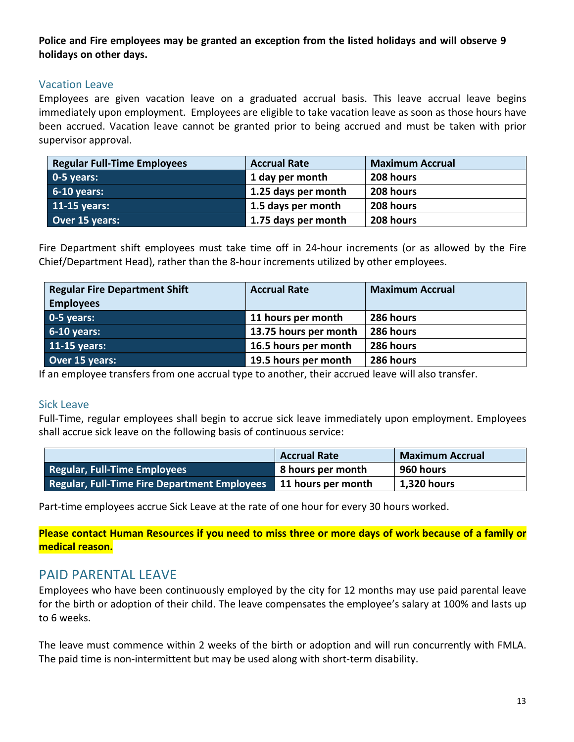## **Police and Fire employees may be granted an exception from the listed holidays and will observe 9 holidays on other days.**

## <span id="page-12-0"></span>Vacation Leave

Employees are given vacation leave on a graduated accrual basis. This leave accrual leave begins immediately upon employment. Employees are eligible to take vacation leave as soon as those hours have been accrued. Vacation leave cannot be granted prior to being accrued and must be taken with prior supervisor approval.

| <b>Regular Full-Time Employees</b> | <b>Accrual Rate</b> | <b>Maximum Accrual</b> |
|------------------------------------|---------------------|------------------------|
| $\vert$ 0-5 years:                 | 1 day per month     | 208 hours              |
| $6-10$ years:                      | 1.25 days per month | 208 hours              |
| 11-15 years:                       | 1.5 days per month  | 208 hours              |
| Over 15 years:                     | 1.75 days per month | 208 hours              |

Fire Department shift employees must take time off in 24-hour increments (or as allowed by the Fire Chief/Department Head), rather than the 8-hour increments utilized by other employees.

| <b>Regular Fire Department Shift</b> | <b>Accrual Rate</b>   | <b>Maximum Accrual</b> |
|--------------------------------------|-----------------------|------------------------|
| <b>Employees</b>                     |                       |                        |
| $0-5$ years:                         | 11 hours per month    | 286 hours              |
| $6-10$ years:                        | 13.75 hours per month | 286 hours              |
| 11-15 years:                         | 16.5 hours per month  | 286 hours              |
| Over 15 years:                       | 19.5 hours per month  | 286 hours              |

If an employee transfers from one accrual type to another, their accrued leave will also transfer.

#### <span id="page-12-1"></span>Sick Leave

Full-Time, regular employees shall begin to accrue sick leave immediately upon employment. Employees shall accrue sick leave on the following basis of continuous service:

|                                                     | <b>Accrual Rate</b> | <b>Maximum Accrual</b> |
|-----------------------------------------------------|---------------------|------------------------|
| <b>Regular, Full-Time Employees</b>                 | 8 hours per month   | 960 hours              |
| <b>Regular, Full-Time Fire Department Employees</b> | 11 hours per month  | <b>1,320 hours</b>     |

Part-time employees accrue Sick Leave at the rate of one hour for every 30 hours worked.

**Please contact Human Resources if you need to miss three or more days of work because of a family or medical reason.**

# PAID PARFNTAL LEAVE

Employees who have been continuously employed by the city for 12 months may use paid parental leave for the birth or adoption of their child. The leave compensates the employee's salary at 100% and lasts up to 6 weeks.

The leave must commence within 2 weeks of the birth or adoption and will run concurrently with FMLA. The paid time is non-intermittent but may be used along with short-term disability.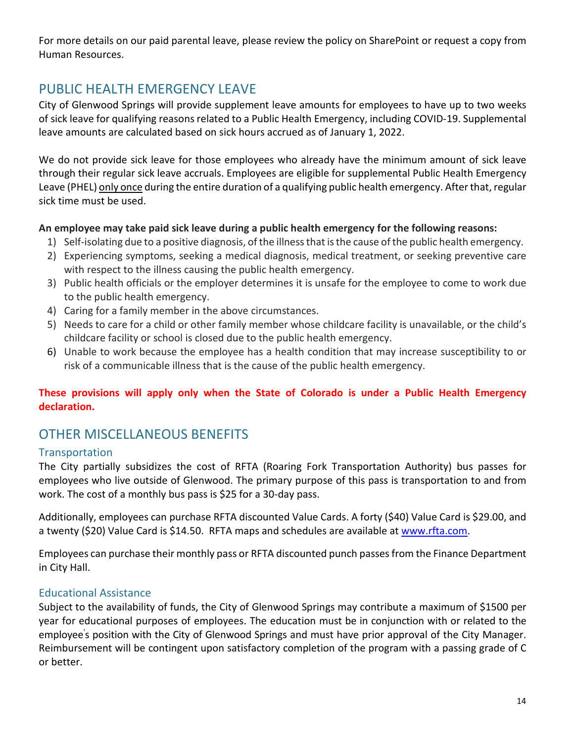For more details on our paid parental leave, please review the policy on SharePoint or request a copy from Human Resources.

# PUBLIC HEALTH EMERGENCY LEAVE

City of Glenwood Springs will provide supplement leave amounts for employees to have up to two weeks of sick leave for qualifying reasons related to a Public Health Emergency, including COVID-19. Supplemental leave amounts are calculated based on sick hours accrued as of January 1, 2022.

We do not provide sick leave for those employees who already have the minimum amount of sick leave through their regular sick leave accruals. Employees are eligible for supplemental Public Health Emergency Leave (PHEL) only once during the entire duration of a qualifying public health emergency. After that, regular sick time must be used.

# **An employee may take paid sick leave during a public health emergency for the following reasons:**

- 1) Self-isolating due to a positive diagnosis, of the illness that is the cause of the public health emergency.
- 2) Experiencing symptoms, seeking a medical diagnosis, medical treatment, or seeking preventive care with respect to the illness causing the public health emergency.
- 3) Public health officials or the employer determines it is unsafe for the employee to come to work due to the public health emergency.
- 4) Caring for a family member in the above circumstances.
- 5) Needs to care for a child or other family member whose childcare facility is unavailable, or the child's childcare facility or school is closed due to the public health emergency.
- 6) Unable to work because the employee has a health condition that may increase susceptibility to or risk of a communicable illness that is the cause of the public health emergency.

# **These provisions will apply only when the State of Colorado is under a Public Health Emergency declaration.**

# <span id="page-13-0"></span>OTHER MISCELLANEOUS BENEFITS

# <span id="page-13-1"></span>**Transportation**

The City partially subsidizes the cost of RFTA (Roaring Fork Transportation Authority) bus passes for employees who live outside of Glenwood. The primary purpose of this pass is transportation to and from work. The cost of a monthly bus pass is \$25 for a 30-day pass.

Additionally, employees can purchase RFTA discounted Value Cards. A forty (\$40) Value Card is \$29.00, and a twenty (\$20) Value Card is \$14.50. RFTA maps and schedules are available at [www.rfta.com.](http://www.rfta.com/)

Employees can purchase their monthly pass or RFTA discounted punch passes from the Finance Department in City Hall.

# <span id="page-13-2"></span>Educational Assistance

Subject to the availability of funds, the City of Glenwood Springs may contribute a maximum of \$1500 per year for educational purposes of employees. The education must be in conjunction with or related to the employee' s position with the City of Glenwood Springs and must have prior approval of the City Manager. Reimbursement will be contingent upon satisfactory completion of the program with a passing grade of C or better.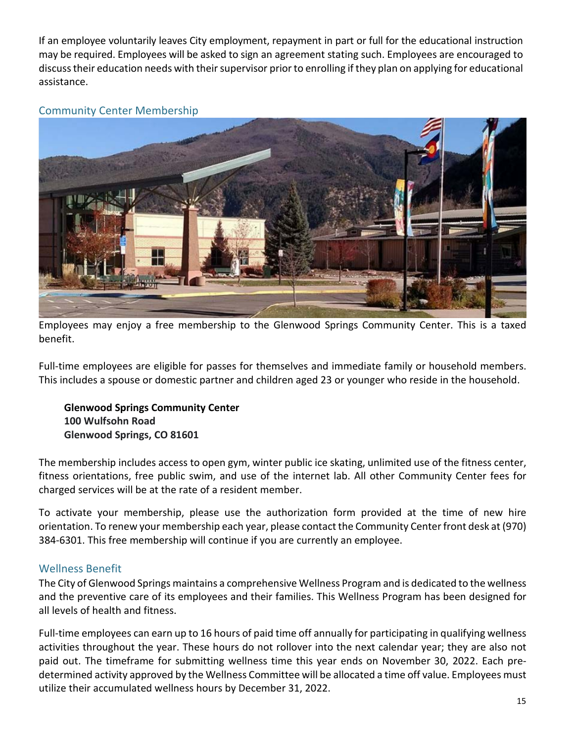If an employee voluntarily leaves City employment, repayment in part or full for the educational instruction may be required. Employees will be asked to sign an agreement stating such. Employees are encouraged to discuss their education needs with their supervisor prior to enrolling if they plan on applying for educational assistance.

<span id="page-14-0"></span>Community Center Membership



Employees may enjoy a free membership to the Glenwood Springs Community Center. This is a taxed benefit.

Full-time employees are eligible for passes for themselves and immediate family or household members. This includes a spouse or domestic partner and children aged 23 or younger who reside in the household.

**Glenwood Springs Community Center 100 Wulfsohn Road Glenwood Springs, CO 81601**

The membership includes access to open gym, winter public ice skating, unlimited use of the fitness center, fitness orientations, free public swim, and use of the internet lab. All other Community Center fees for charged services will be at the rate of a resident member.

To activate your membership, please use the authorization form provided at the time of new hire orientation. To renew your membership each year, please contact the Community Center front desk at (970) 384-6301. This free membership will continue if you are currently an employee.

# <span id="page-14-1"></span>Wellness Benefit

The City of Glenwood Springs maintains a comprehensive Wellness Program and is dedicated to the wellness and the preventive care of its employees and their families. This Wellness Program has been designed for all levels of health and fitness.

Full-time employees can earn up to 16 hours of paid time off annually for participating in qualifying wellness activities throughout the year. These hours do not rollover into the next calendar year; they are also not paid out. The timeframe for submitting wellness time this year ends on November 30, 2022. Each predetermined activity approved by the Wellness Committee will be allocated a time off value. Employees must utilize their accumulated wellness hours by December 31, 2022.